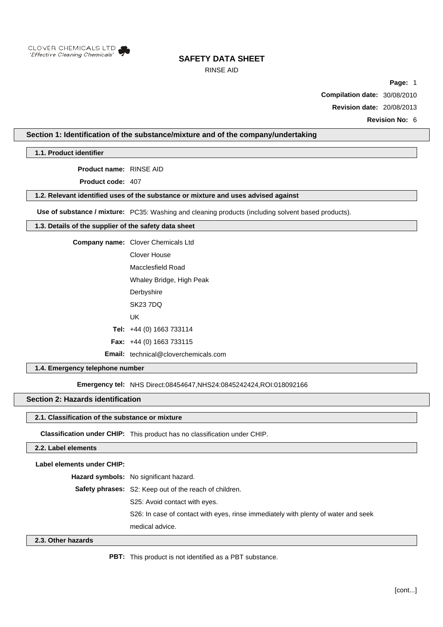

# RINSE AID

**Page:** 1

**Compilation date:** 30/08/2010

**Revision date:** 20/08/2013

**Revision No:** 6

## **Section 1: Identification of the substance/mixture and of the company/undertaking**

**1.1. Product identifier**

**Product name:** RINSE AID

**Product code:** 407

### **1.2. Relevant identified uses of the substance or mixture and uses advised against**

**Use of substance / mixture:** PC35: Washing and cleaning products (including solvent based products).

## **1.3. Details of the supplier of the safety data sheet**

**Company name:** Clover Chemicals Ltd

- Clover House Macclesfield Road Whaley Bridge, High Peak
	- **Derbyshire**
- SK23 7DQ
- UK
- **Tel:** +44 (0) 1663 733114
- **Fax:** +44 (0) 1663 733115
- **Email:** technical@cloverchemicals.com

## **1.4. Emergency telephone number**

**Emergency tel:** NHS Direct:08454647,NHS24:0845242424,ROI:018092166

### **Section 2: Hazards identification**

#### **2.1. Classification of the substance or mixture**

**Classification under CHIP:** This product has no classification under CHIP.

#### **2.2. Label elements**

**Label elements under CHIP:**

**Hazard symbols:** No significant hazard.

**Safety phrases:** S2: Keep out of the reach of children.

S25: Avoid contact with eyes.

S26: In case of contact with eyes, rinse immediately with plenty of water and seek

medical advice.

## **2.3. Other hazards**

**PBT:** This product is not identified as a PBT substance.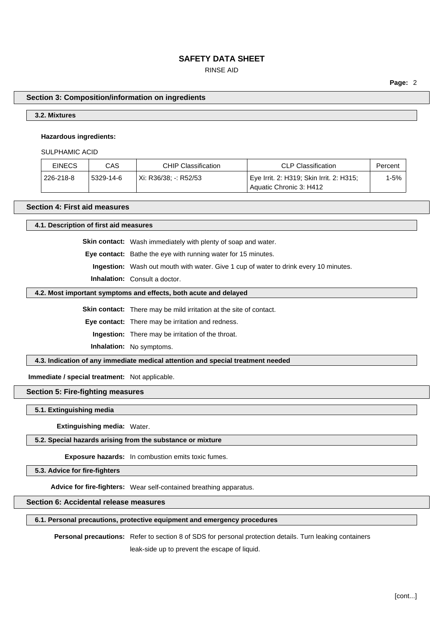# RINSE AID

**Page:** 2

## **Section 3: Composition/information on ingredients**

# **3.2. Mixtures**

# **Hazardous ingredients:**

#### SULPHAMIC ACID

| <b>EINECS</b> | CAS       | CHIP Classification   | CLP Classification                                                  | Percent |
|---------------|-----------|-----------------------|---------------------------------------------------------------------|---------|
| 226-218-8     | 5329-14-6 | Xi: R36/38: -: R52/53 | Eye Irrit. 2: H319; Skin Irrit. 2: H315;<br>Aquatic Chronic 3: H412 | 1-5%    |

# **Section 4: First aid measures**

#### **4.1. Description of first aid measures**

**Skin contact:** Wash immediately with plenty of soap and water.

**Eye contact:** Bathe the eye with running water for 15 minutes.

**Ingestion:** Wash out mouth with water. Give 1 cup of water to drink every 10 minutes.

**Inhalation:** Consult a doctor.

## **4.2. Most important symptoms and effects, both acute and delayed**

**Skin contact:** There may be mild irritation at the site of contact.

**Eye contact:** There may be irritation and redness.

**Ingestion:** There may be irritation of the throat.

**Inhalation:** No symptoms.

**4.3. Indication of any immediate medical attention and special treatment needed**

**Immediate / special treatment:** Not applicable.

### **Section 5: Fire-fighting measures**

**5.1. Extinguishing media**

**Extinguishing media:** Water.

#### **5.2. Special hazards arising from the substance or mixture**

**Exposure hazards:** In combustion emits toxic fumes.

**5.3. Advice for fire-fighters**

**Advice for fire-fighters:** Wear self-contained breathing apparatus.

# **Section 6: Accidental release measures**

#### **6.1. Personal precautions, protective equipment and emergency procedures**

**Personal precautions:** Refer to section 8 of SDS for personal protection details. Turn leaking containers leak-side up to prevent the escape of liquid.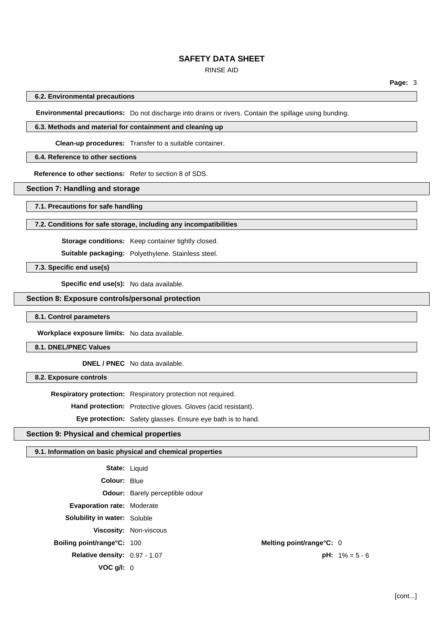# RINSE AID

## **6.2. Environmental precautions**

**Environmental precautions:** Do not discharge into drains or rivers. Contain the spillage using bunding.

## **6.3. Methods and material for containment and cleaning up**

**Clean-up procedures:** Transfer to a suitable container.

## **6.4. Reference to other sections**

**Reference to other sections:** Refer to section 8 of SDS.

# **Section 7: Handling and storage**

**7.1. Precautions for safe handling**

#### **7.2. Conditions for safe storage, including any incompatibilities**

**Storage conditions:** Keep container tightly closed.

**Suitable packaging:** Polyethylene. Stainless steel.

**7.3. Specific end use(s)**

**Specific end use(s):** No data available.

## **Section 8: Exposure controls/personal protection**

**8.1. Control parameters**

**Workplace exposure limits:** No data available.

**8.1. DNEL/PNEC Values**

**DNEL / PNEC** No data available.

**8.2. Exposure controls**

**Respiratory protection:** Respiratory protection not required.

**Hand protection:** Protective gloves. Gloves (acid resistant).

**Eye protection:** Safety glasses. Ensure eye bath is to hand.

### **Section 9: Physical and chemical properties**

## **9.1. Information on basic physical and chemical properties**

| <b>State: Liquid</b>                 |                                        |                          |                          |
|--------------------------------------|----------------------------------------|--------------------------|--------------------------|
| <b>Colour: Blue</b>                  |                                        |                          |                          |
|                                      | <b>Odour:</b> Barely perceptible odour |                          |                          |
| <b>Evaporation rate: Moderate</b>    |                                        |                          |                          |
| <b>Solubility in water: Soluble</b>  |                                        |                          |                          |
|                                      | <b>Viscosity: Non-viscous</b>          |                          |                          |
| Boiling point/range°C: 100           |                                        | Melting point/range°C: 0 |                          |
| <b>Relative density: 0.97 - 1.07</b> |                                        |                          | <b>pH:</b> $1\% = 5 - 6$ |
| $VOC$ g/l: $0$                       |                                        |                          |                          |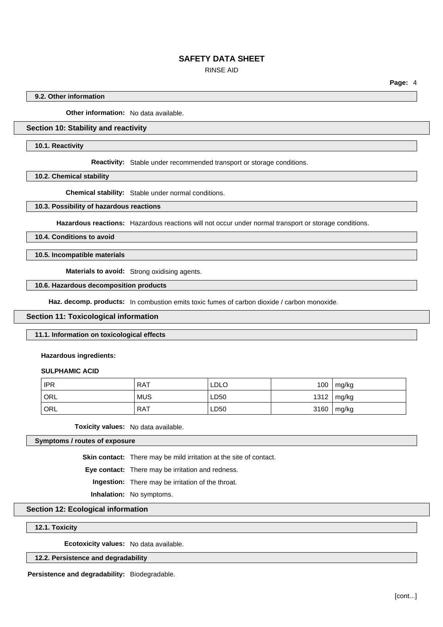RINSE AID

**Page:** 4

## **9.2. Other information**

**Other information:** No data available.

## **Section 10: Stability and reactivity**

#### **10.1. Reactivity**

**Reactivity:** Stable under recommended transport or storage conditions.

**10.2. Chemical stability**

**Chemical stability:** Stable under normal conditions.

#### **10.3. Possibility of hazardous reactions**

**Hazardous reactions:** Hazardous reactions will not occur under normal transport or storage conditions.

**10.4. Conditions to avoid**

#### **10.5. Incompatible materials**

**Materials to avoid:** Strong oxidising agents.

# **10.6. Hazardous decomposition products**

**Haz. decomp. products:** In combustion emits toxic fumes of carbon dioxide / carbon monoxide.

#### **Section 11: Toxicological information**

#### **11.1. Information on toxicological effects**

**Hazardous ingredients:**

### **SULPHAMIC ACID**

| <b>IPR</b>         | <b>RAT</b> | <b>LDLO</b> | 100  | mg/kg |
|--------------------|------------|-------------|------|-------|
| $\overline{O}$ ORL | <b>MUS</b> | LD50        | 1312 | mg/kg |
| <sup>'</sup> ORL   | RAT        | LD50        | 3160 | mg/kg |

**Toxicity values:** No data available.

**Symptoms / routes of exposure**

**Skin contact:** There may be mild irritation at the site of contact.

**Eye contact:** There may be irritation and redness.

**Ingestion:** There may be irritation of the throat.

**Inhalation:** No symptoms.

# **Section 12: Ecological information**

## **12.1. Toxicity**

**Ecotoxicity values:** No data available.

#### **12.2. Persistence and degradability**

**Persistence and degradability:** Biodegradable.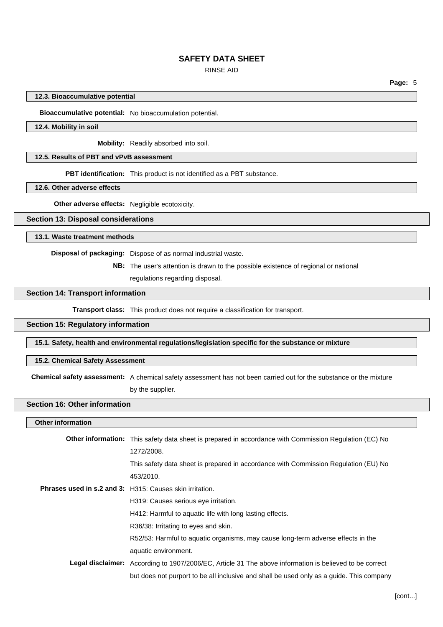# RINSE AID

**Page:** 5

#### **12.3. Bioaccumulative potential**

**Bioaccumulative potential:** No bioaccumulation potential.

#### **12.4. Mobility in soil**

**Mobility:** Readily absorbed into soil.

# **12.5. Results of PBT and vPvB assessment**

**PBT identification:** This product is not identified as a PBT substance.

**12.6. Other adverse effects**

**Other adverse effects:** Negligible ecotoxicity.

#### **Section 13: Disposal considerations**

#### **13.1. Waste treatment methods**

**Disposal of packaging:** Dispose of as normal industrial waste.

**NB:** The user's attention is drawn to the possible existence of regional or national

regulations regarding disposal.

### **Section 14: Transport information**

**Transport class:** This product does not require a classification for transport.

## **Section 15: Regulatory information**

**15.1. Safety, health and environmental regulations/legislation specific for the substance or mixture**

**15.2. Chemical Safety Assessment**

**Chemical safety assessment:** A chemical safety assessment has not been carried out for the substance or the mixture by the supplier.

# **Section 16: Other information**

#### **Other information**

| <b>Other information:</b> This safety data sheet is prepared in accordance with Commission Regulation (EC) No  |
|----------------------------------------------------------------------------------------------------------------|
| 1272/2008.                                                                                                     |
| This safety data sheet is prepared in accordance with Commission Regulation (EU) No                            |
| 453/2010.                                                                                                      |
| <b>Phrases used in s.2 and 3: H315: Causes skin irritation.</b>                                                |
| H319: Causes serious eye irritation.                                                                           |
| H412: Harmful to aquatic life with long lasting effects.                                                       |
| R36/38: Irritating to eyes and skin.                                                                           |
| R52/53: Harmful to aquatic organisms, may cause long-term adverse effects in the                               |
| aquatic environment.                                                                                           |
| <b>Legal disclaimer:</b> According to 1907/2006/EC, Article 31 The above information is believed to be correct |
| but does not purport to be all inclusive and shall be used only as a guide. This company                       |